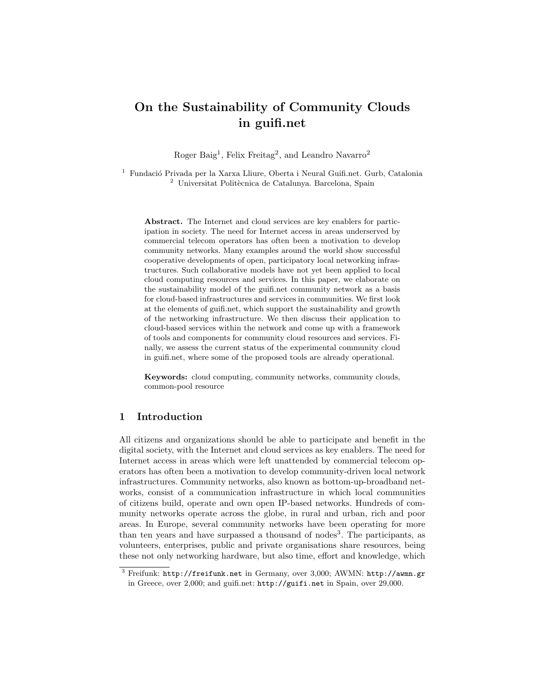# On the Sustainability of Community Clouds in guifi.net

Roger Baig<sup>1</sup>, Felix Freitag<sup>2</sup>, and Leandro Navarro<sup>2</sup>

<sup>1</sup> Fundació Privada per la Xarxa Lliure, Oberta i Neural Guifi.net. Gurb, Catalonia  $^2$ Universitat Politècnica de Catalunya. Barcelona, Spain

Abstract. The Internet and cloud services are key enablers for participation in society. The need for Internet access in areas underserved by commercial telecom operators has often been a motivation to develop community networks. Many examples around the world show successful cooperative developments of open, participatory local networking infrastructures. Such collaborative models have not yet been applied to local cloud computing resources and services. In this paper, we elaborate on the sustainability model of the guifi.net community network as a basis for cloud-based infrastructures and services in communities. We first look at the elements of guifi.net, which support the sustainability and growth of the networking infrastructure. We then discuss their application to cloud-based services within the network and come up with a framework of tools and components for community cloud resources and services. Finally, we assess the current status of the experimental community cloud in guifi.net, where some of the proposed tools are already operational.

Keywords: cloud computing, community networks, community clouds, common-pool resource

# 1 Introduction

All citizens and organizations should be able to participate and benefit in the digital society, with the Internet and cloud services as key enablers. The need for Internet access in areas which were left unattended by commercial telecom operators has often been a motivation to develop community-driven local network infrastructures. Community networks, also known as bottom-up-broadband networks, consist of a communication infrastructure in which local communities of citizens build, operate and own open IP-based networks. Hundreds of community networks operate across the globe, in rural and urban, rich and poor areas. In Europe, several community networks have been operating for more than ten years and have surpassed a thousand of nodes<sup>[3](#page-0-0)</sup>. The participants, as volunteers, enterprises, public and private organisations share resources, being these not only networking hardware, but also time, effort and knowledge, which

<span id="page-0-0"></span><sup>3</sup> Freifunk: <http://freifunk.net> in Germany, over 3,000; AWMN: <http://awmn.gr> in Greece, over 2,000; and guifi.net: <http://guifi.net> in Spain, over 29,000.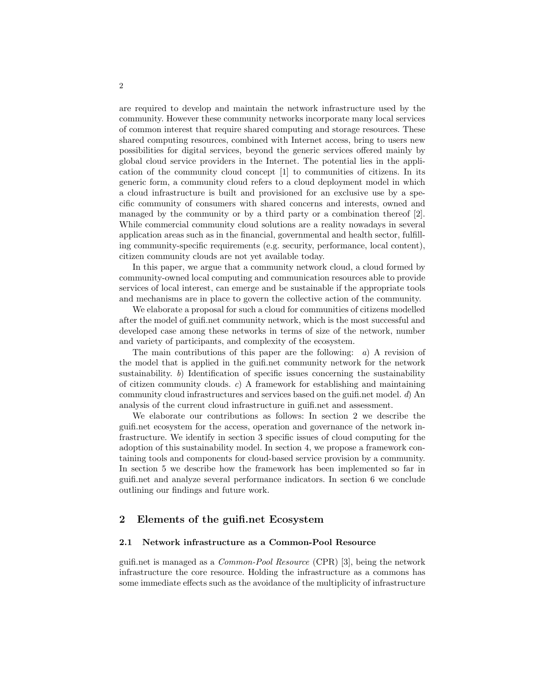are required to develop and maintain the network infrastructure used by the community. However these community networks incorporate many local services of common interest that require shared computing and storage resources. These shared computing resources, combined with Internet access, bring to users new possibilities for digital services, beyond the generic services offered mainly by global cloud service providers in the Internet. The potential lies in the application of the community cloud concept [\[1\]](#page-12-0) to communities of citizens. In its generic form, a community cloud refers to a cloud deployment model in which a cloud infrastructure is built and provisioned for an exclusive use by a specific community of consumers with shared concerns and interests, owned and managed by the community or by a third party or a combination thereof [\[2\]](#page-12-1). While commercial community cloud solutions are a reality nowadays in several application areas such as in the financial, governmental and health sector, fulfilling community-specific requirements (e.g. security, performance, local content), citizen community clouds are not yet available today.

In this paper, we argue that a community network cloud, a cloud formed by community-owned local computing and communication resources able to provide services of local interest, can emerge and be sustainable if the appropriate tools and mechanisms are in place to govern the collective action of the community.

We elaborate a proposal for such a cloud for communities of citizens modelled after the model of guifi.net community network, which is the most successful and developed case among these networks in terms of size of the network, number and variety of participants, and complexity of the ecosystem.

The main contributions of this paper are the following:  $a$ ) A revision of the model that is applied in the guifi.net community network for the network sustainability.  $b$ ) Identification of specific issues concerning the sustainability of citizen community clouds.  $c$ ) A framework for establishing and maintaining community cloud infrastructures and services based on the guifi.net model. d) An analysis of the current cloud infrastructure in guifi.net and assessment.

We elaborate our contributions as follows: In section [2](#page-1-0) we describe the guifi.net ecosystem for the access, operation and governance of the network infrastructure. We identify in section [3](#page-5-0) specific issues of cloud computing for the adoption of this sustainability model. In section [4,](#page-6-0) we propose a framework containing tools and components for cloud-based service provision by a community. In section [5](#page-10-0) we describe how the framework has been implemented so far in guifi.net and analyze several performance indicators. In section [6](#page-12-2) we conclude outlining our findings and future work.

# <span id="page-1-0"></span>2 Elements of the guifi.net Ecosystem

## 2.1 Network infrastructure as a Common-Pool Resource

guifi.net is managed as a Common-Pool Resource (CPR) [\[3\]](#page-12-3), being the network infrastructure the core resource. Holding the infrastructure as a commons has some immediate effects such as the avoidance of the multiplicity of infrastructure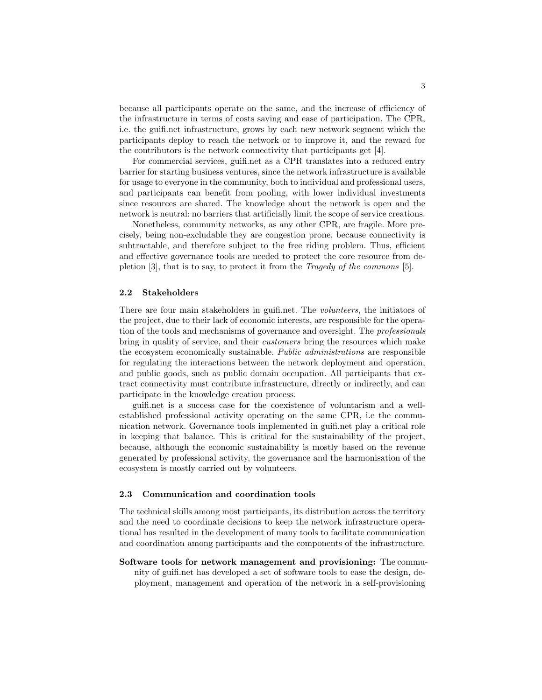because all participants operate on the same, and the increase of efficiency of the infrastructure in terms of costs saving and ease of participation. The CPR, i.e. the guifi.net infrastructure, grows by each new network segment which the participants deploy to reach the network or to improve it, and the reward for the contributors is the network connectivity that participants get [\[4\]](#page-12-4).

For commercial services, guifi.net as a CPR translates into a reduced entry barrier for starting business ventures, since the network infrastructure is available for usage to everyone in the community, both to individual and professional users, and participants can benefit from pooling, with lower individual investments since resources are shared. The knowledge about the network is open and the network is neutral: no barriers that artificially limit the scope of service creations.

Nonetheless, community networks, as any other CPR, are fragile. More precisely, being non-excludable they are congestion prone, because connectivity is subtractable, and therefore subject to the free riding problem. Thus, efficient and effective governance tools are needed to protect the core resource from depletion [\[3\]](#page-12-3), that is to say, to protect it from the Tragedy of the commons [\[5\]](#page-12-5).

## 2.2 Stakeholders

There are four main stakeholders in guifi.net. The *volunteers*, the initiators of the project, due to their lack of economic interests, are responsible for the operation of the tools and mechanisms of governance and oversight. The professionals bring in quality of service, and their customers bring the resources which make the ecosystem economically sustainable. Public administrations are responsible for regulating the interactions between the network deployment and operation, and public goods, such as public domain occupation. All participants that extract connectivity must contribute infrastructure, directly or indirectly, and can participate in the knowledge creation process.

guifi.net is a success case for the coexistence of voluntarism and a wellestablished professional activity operating on the same CPR, i.e the communication network. Governance tools implemented in guifi.net play a critical role in keeping that balance. This is critical for the sustainability of the project, because, although the economic sustainability is mostly based on the revenue generated by professional activity, the governance and the harmonisation of the ecosystem is mostly carried out by volunteers.

#### 2.3 Communication and coordination tools

The technical skills among most participants, its distribution across the territory and the need to coordinate decisions to keep the network infrastructure operational has resulted in the development of many tools to facilitate communication and coordination among participants and the components of the infrastructure.

Software tools for network management and provisioning: The community of guifi.net has developed a set of software tools to ease the design, deployment, management and operation of the network in a self-provisioning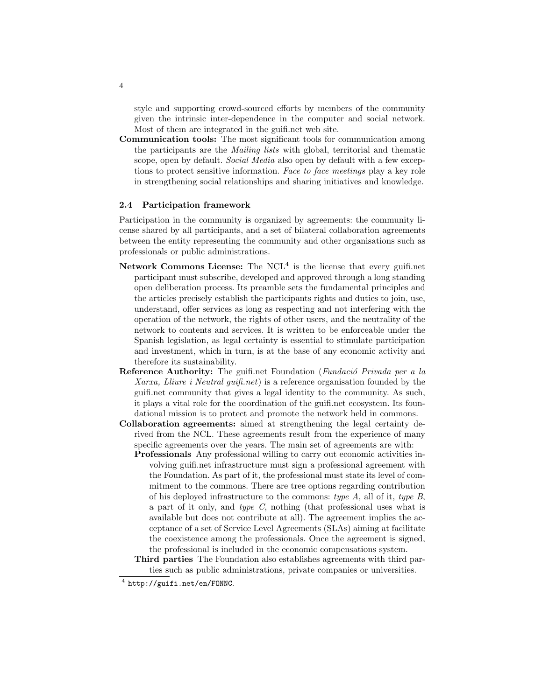style and supporting crowd-sourced efforts by members of the community given the intrinsic inter-dependence in the computer and social network. Most of them are integrated in the guifi.net web site.

Communication tools: The most significant tools for communication among the participants are the Mailing lists with global, territorial and thematic scope, open by default. Social Media also open by default with a few exceptions to protect sensitive information. Face to face meetings play a key role in strengthening social relationships and sharing initiatives and knowledge.

## 2.4 Participation framework

Participation in the community is organized by agreements: the community license shared by all participants, and a set of bilateral collaboration agreements between the entity representing the community and other organisations such as professionals or public administrations.

- Network Commons License: The  $NCL<sup>4</sup>$  $NCL<sup>4</sup>$  $NCL<sup>4</sup>$  is the license that every guifi.net participant must subscribe, developed and approved through a long standing open deliberation process. Its preamble sets the fundamental principles and the articles precisely establish the participants rights and duties to join, use, understand, offer services as long as respecting and not interfering with the operation of the network, the rights of other users, and the neutrality of the network to contents and services. It is written to be enforceable under the Spanish legislation, as legal certainty is essential to stimulate participation and investment, which in turn, is at the base of any economic activity and therefore its sustainability.
- Reference Authority: The guifi.net Foundation (Fundació Privada per a la Xarxa, Lliure i Neutral quifi.net) is a reference organisation founded by the guifi.net community that gives a legal identity to the community. As such, it plays a vital role for the coordination of the guifi.net ecosystem. Its foundational mission is to protect and promote the network held in commons.
- Collaboration agreements: aimed at strengthening the legal certainty derived from the NCL. These agreements result from the experience of many specific agreements over the years. The main set of agreements are with:
	- Professionals Any professional willing to carry out economic activities involving guifi.net infrastructure must sign a professional agreement with the Foundation. As part of it, the professional must state its level of commitment to the commons. There are tree options regarding contribution of his deployed infrastructure to the commons: type  $A$ , all of it, type  $B$ , a part of it only, and type C, nothing (that professional uses what is available but does not contribute at all). The agreement implies the acceptance of a set of Service Level Agreements (SLAs) aiming at facilitate the coexistence among the professionals. Once the agreement is signed, the professional is included in the economic compensations system.

4

Third parties The Foundation also establishes agreements with third parties such as public administrations, private companies or universities.

<span id="page-3-0"></span><sup>4</sup> <http://guifi.net/en/FONNC>.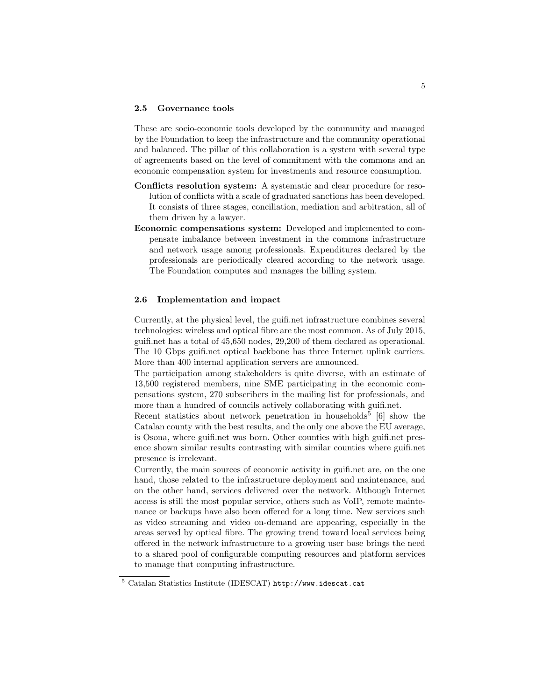## 2.5 Governance tools

These are socio-economic tools developed by the community and managed by the Foundation to keep the infrastructure and the community operational and balanced. The pillar of this collaboration is a system with several type of agreements based on the level of commitment with the commons and an economic compensation system for investments and resource consumption.

- Conflicts resolution system: A systematic and clear procedure for resolution of conflicts with a scale of graduated sanctions has been developed. It consists of three stages, conciliation, mediation and arbitration, all of them driven by a lawyer.
- Economic compensations system: Developed and implemented to compensate imbalance between investment in the commons infrastructure and network usage among professionals. Expenditures declared by the professionals are periodically cleared according to the network usage. The Foundation computes and manages the billing system.

## 2.6 Implementation and impact

Currently, at the physical level, the guifi.net infrastructure combines several technologies: wireless and optical fibre are the most common. As of July 2015, guifi.net has a total of 45,650 nodes, 29,200 of them declared as operational. The 10 Gbps guifi.net optical backbone has three Internet uplink carriers. More than 400 internal application servers are announced.

The participation among stakeholders is quite diverse, with an estimate of 13,500 registered members, nine SME participating in the economic compensations system, 270 subscribers in the mailing list for professionals, and more than a hundred of councils actively collaborating with guifi.net.

Recent statistics about network penetration in households<sup>[5](#page-4-0)</sup> [\[6\]](#page-12-6) show the Catalan county with the best results, and the only one above the EU average, is Osona, where guifi.net was born. Other counties with high guifi.net presence shown similar results contrasting with similar counties where guifi.net presence is irrelevant.

Currently, the main sources of economic activity in guifi.net are, on the one hand, those related to the infrastructure deployment and maintenance, and on the other hand, services delivered over the network. Although Internet access is still the most popular service, others such as VoIP, remote maintenance or backups have also been offered for a long time. New services such as video streaming and video on-demand are appearing, especially in the areas served by optical fibre. The growing trend toward local services being offered in the network infrastructure to a growing user base brings the need to a shared pool of configurable computing resources and platform services to manage that computing infrastructure.

<span id="page-4-0"></span><sup>5</sup> Catalan Statistics Institute (IDESCAT) <http://www.idescat.cat>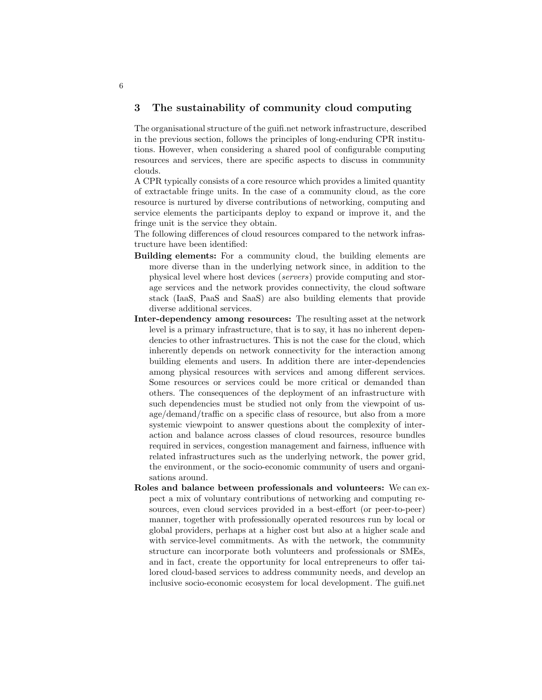# <span id="page-5-0"></span>3 The sustainability of community cloud computing

The organisational structure of the guifi.net network infrastructure, described in the previous section, follows the principles of long-enduring CPR institutions. However, when considering a shared pool of configurable computing resources and services, there are specific aspects to discuss in community clouds.

A CPR typically consists of a core resource which provides a limited quantity of extractable fringe units. In the case of a community cloud, as the core resource is nurtured by diverse contributions of networking, computing and service elements the participants deploy to expand or improve it, and the fringe unit is the service they obtain.

The following differences of cloud resources compared to the network infrastructure have been identified:

- Building elements: For a community cloud, the building elements are more diverse than in the underlying network since, in addition to the physical level where host devices (servers) provide computing and storage services and the network provides connectivity, the cloud software stack (IaaS, PaaS and SaaS) are also building elements that provide diverse additional services.
- Inter-dependency among resources: The resulting asset at the network level is a primary infrastructure, that is to say, it has no inherent dependencies to other infrastructures. This is not the case for the cloud, which inherently depends on network connectivity for the interaction among building elements and users. In addition there are inter-dependencies among physical resources with services and among different services. Some resources or services could be more critical or demanded than others. The consequences of the deployment of an infrastructure with such dependencies must be studied not only from the viewpoint of usage/demand/traffic on a specific class of resource, but also from a more systemic viewpoint to answer questions about the complexity of interaction and balance across classes of cloud resources, resource bundles required in services, congestion management and fairness, influence with related infrastructures such as the underlying network, the power grid, the environment, or the socio-economic community of users and organisations around.
- Roles and balance between professionals and volunteers: We can expect a mix of voluntary contributions of networking and computing resources, even cloud services provided in a best-effort (or peer-to-peer) manner, together with professionally operated resources run by local or global providers, perhaps at a higher cost but also at a higher scale and with service-level commitments. As with the network, the community structure can incorporate both volunteers and professionals or SMEs, and in fact, create the opportunity for local entrepreneurs to offer tailored cloud-based services to address community needs, and develop an inclusive socio-economic ecosystem for local development. The guifi.net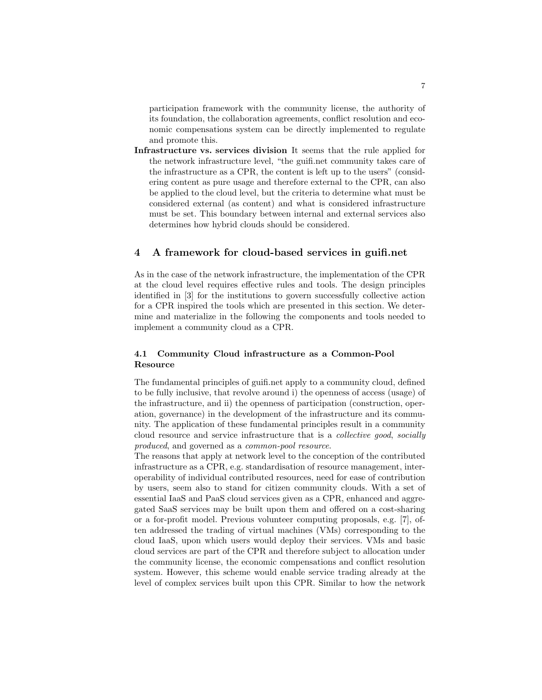participation framework with the community license, the authority of its foundation, the collaboration agreements, conflict resolution and economic compensations system can be directly implemented to regulate and promote this.

Infrastructure vs. services division It seems that the rule applied for the network infrastructure level, "the guifi.net community takes care of the infrastructure as a CPR, the content is left up to the users" (considering content as pure usage and therefore external to the CPR, can also be applied to the cloud level, but the criteria to determine what must be considered external (as content) and what is considered infrastructure must be set. This boundary between internal and external services also determines how hybrid clouds should be considered.

## <span id="page-6-0"></span>4 A framework for cloud-based services in guifi.net

As in the case of the network infrastructure, the implementation of the CPR at the cloud level requires effective rules and tools. The design principles identified in [\[3\]](#page-12-3) for the institutions to govern successfully collective action for a CPR inspired the tools which are presented in this section. We determine and materialize in the following the components and tools needed to implement a community cloud as a CPR.

# 4.1 Community Cloud infrastructure as a Common-Pool Resource

The fundamental principles of guifi.net apply to a community cloud, defined to be fully inclusive, that revolve around i) the openness of access (usage) of the infrastructure, and ii) the openness of participation (construction, operation, governance) in the development of the infrastructure and its community. The application of these fundamental principles result in a community cloud resource and service infrastructure that is a collective good, socially produced, and governed as a common-pool resource.

The reasons that apply at network level to the conception of the contributed infrastructure as a CPR, e.g. standardisation of resource management, interoperability of individual contributed resources, need for ease of contribution by users, seem also to stand for citizen community clouds. With a set of essential IaaS and PaaS cloud services given as a CPR, enhanced and aggregated SaaS services may be built upon them and offered on a cost-sharing or a for-profit model. Previous volunteer computing proposals, e.g. [\[7\]](#page-12-7), often addressed the trading of virtual machines (VMs) corresponding to the cloud IaaS, upon which users would deploy their services. VMs and basic cloud services are part of the CPR and therefore subject to allocation under the community license, the economic compensations and conflict resolution system. However, this scheme would enable service trading already at the level of complex services built upon this CPR. Similar to how the network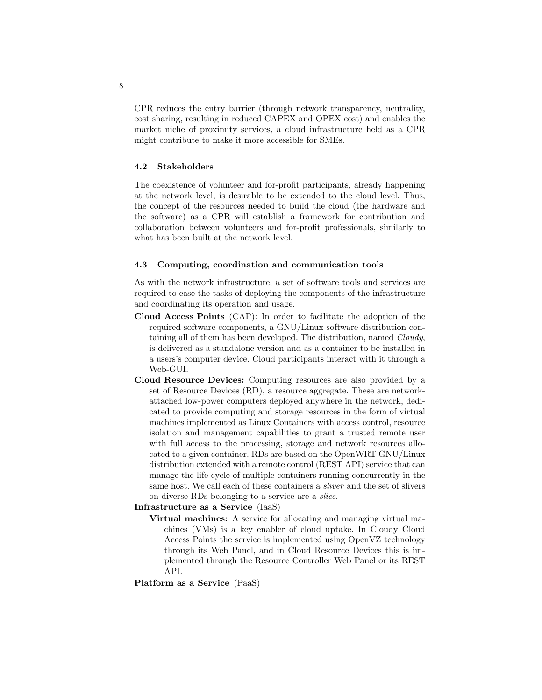CPR reduces the entry barrier (through network transparency, neutrality, cost sharing, resulting in reduced CAPEX and OPEX cost) and enables the market niche of proximity services, a cloud infrastructure held as a CPR might contribute to make it more accessible for SMEs.

## 4.2 Stakeholders

The coexistence of volunteer and for-profit participants, already happening at the network level, is desirable to be extended to the cloud level. Thus, the concept of the resources needed to build the cloud (the hardware and the software) as a CPR will establish a framework for contribution and collaboration between volunteers and for-profit professionals, similarly to what has been built at the network level.

#### 4.3 Computing, coordination and communication tools

As with the network infrastructure, a set of software tools and services are required to ease the tasks of deploying the components of the infrastructure and coordinating its operation and usage.

- Cloud Access Points (CAP): In order to facilitate the adoption of the required software components, a GNU/Linux software distribution containing all of them has been developed. The distribution, named Cloudy, is delivered as a standalone version and as a container to be installed in a users's computer device. Cloud participants interact with it through a Web-GUI.
- Cloud Resource Devices: Computing resources are also provided by a set of Resource Devices (RD), a resource aggregate. These are networkattached low-power computers deployed anywhere in the network, dedicated to provide computing and storage resources in the form of virtual machines implemented as Linux Containers with access control, resource isolation and management capabilities to grant a trusted remote user with full access to the processing, storage and network resources allocated to a given container. RDs are based on the OpenWRT GNU/Linux distribution extended with a remote control (REST API) service that can manage the life-cycle of multiple containers running concurrently in the same host. We call each of these containers a sliver and the set of slivers on diverse RDs belonging to a service are a slice.

## Infrastructure as a Service (IaaS)

Virtual machines: A service for allocating and managing virtual machines (VMs) is a key enabler of cloud uptake. In Cloudy Cloud Access Points the service is implemented using OpenVZ technology through its Web Panel, and in Cloud Resource Devices this is implemented through the Resource Controller Web Panel or its REST API.

Platform as a Service (PaaS)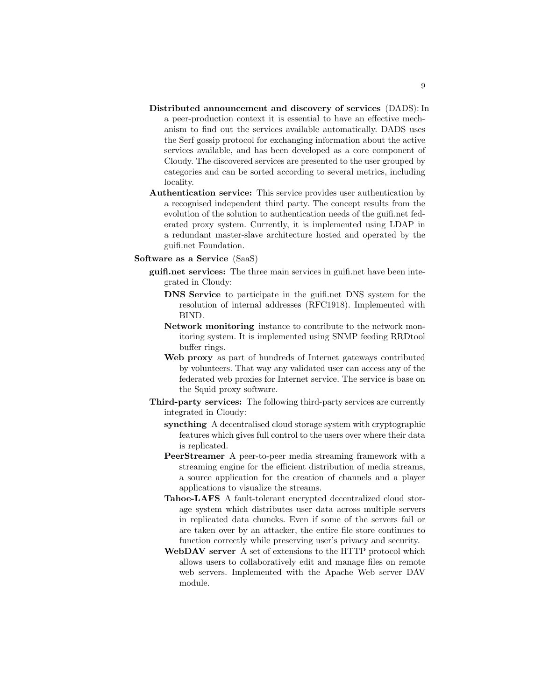- Distributed announcement and discovery of services (DADS): In a peer-production context it is essential to have an effective mechanism to find out the services available automatically. DADS uses the Serf gossip protocol for exchanging information about the active services available, and has been developed as a core component of Cloudy. The discovered services are presented to the user grouped by categories and can be sorted according to several metrics, including locality.
- Authentication service: This service provides user authentication by a recognised independent third party. The concept results from the evolution of the solution to authentication needs of the guifi.net federated proxy system. Currently, it is implemented using LDAP in a redundant master-slave architecture hosted and operated by the guifi.net Foundation.
- Software as a Service (SaaS)
	- guifi.net services: The three main services in guifi.net have been integrated in Cloudy:
		- DNS Service to participate in the guifi.net DNS system for the resolution of internal addresses (RFC1918). Implemented with BIND.
		- Network monitoring instance to contribute to the network monitoring system. It is implemented using SNMP feeding RRDtool buffer rings.
		- Web proxy as part of hundreds of Internet gateways contributed by volunteers. That way any validated user can access any of the federated web proxies for Internet service. The service is base on the Squid proxy software.
	- Third-party services: The following third-party services are currently integrated in Cloudy:
		- syncthing A decentralised cloud storage system with cryptographic features which gives full control to the users over where their data is replicated.
		- PeerStreamer A peer-to-peer media streaming framework with a streaming engine for the efficient distribution of media streams, a source application for the creation of channels and a player applications to visualize the streams.
		- Tahoe-LAFS A fault-tolerant encrypted decentralized cloud storage system which distributes user data across multiple servers in replicated data chuncks. Even if some of the servers fail or are taken over by an attacker, the entire file store continues to function correctly while preserving user's privacy and security.
		- WebDAV server A set of extensions to the HTTP protocol which allows users to collaboratively edit and manage files on remote web servers. Implemented with the Apache Web server DAV module.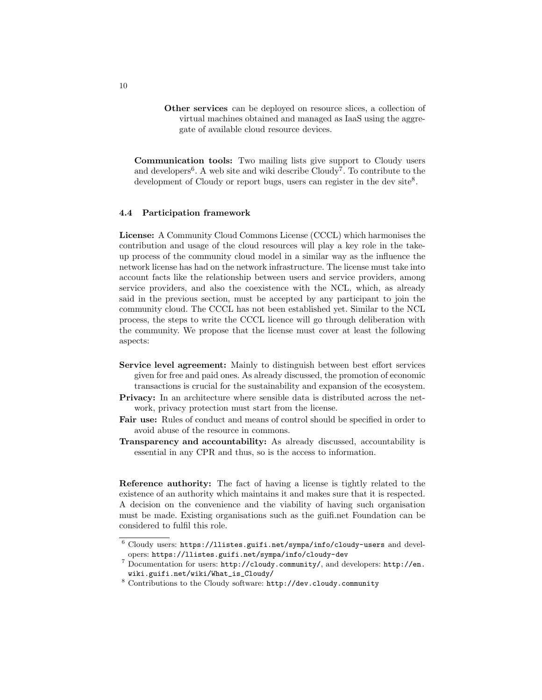Other services can be deployed on resource slices, a collection of virtual machines obtained and managed as IaaS using the aggregate of available cloud resource devices.

Communication tools: Two mailing lists give support to Cloudy users and developers<sup>[6](#page-9-0)</sup>. A web site and wiki describe Cloudy<sup>[7](#page-9-1)</sup>. To contribute to the development of Cloudy or report bugs, users can register in the dev site<sup>[8](#page-9-2)</sup>.

### 4.4 Participation framework

License: A Community Cloud Commons License (CCCL) which harmonises the contribution and usage of the cloud resources will play a key role in the takeup process of the community cloud model in a similar way as the influence the network license has had on the network infrastructure. The license must take into account facts like the relationship between users and service providers, among service providers, and also the coexistence with the NCL, which, as already said in the previous section, must be accepted by any participant to join the community cloud. The CCCL has not been established yet. Similar to the NCL process, the steps to write the CCCL licence will go through deliberation with the community. We propose that the license must cover at least the following aspects:

- Service level agreement: Mainly to distinguish between best effort services given for free and paid ones. As already discussed, the promotion of economic transactions is crucial for the sustainability and expansion of the ecosystem.
- Privacy: In an architecture where sensible data is distributed across the network, privacy protection must start from the license.
- Fair use: Rules of conduct and means of control should be specified in order to avoid abuse of the resource in commons.
- Transparency and accountability: As already discussed, accountability is essential in any CPR and thus, so is the access to information.

Reference authority: The fact of having a license is tightly related to the existence of an authority which maintains it and makes sure that it is respected. A decision on the convenience and the viability of having such organisation must be made. Existing organisations such as the guifi.net Foundation can be considered to fulfil this role.

<span id="page-9-0"></span><sup>6</sup> Cloudy users: <https://llistes.guifi.net/sympa/info/cloudy-users> and developers: <https://llistes.guifi.net/sympa/info/cloudy-dev>

<span id="page-9-1"></span><sup>7</sup> Documentation for users: <http://cloudy.community/>, and developers: [http://en.](http://en.wiki.guifi.net/wiki/What_is_Cloudy/) [wiki.guifi.net/wiki/What\\_is\\_Cloudy/](http://en.wiki.guifi.net/wiki/What_is_Cloudy/)

<span id="page-9-2"></span><sup>8</sup> Contributions to the Cloudy software: <http://dev.cloudy.community>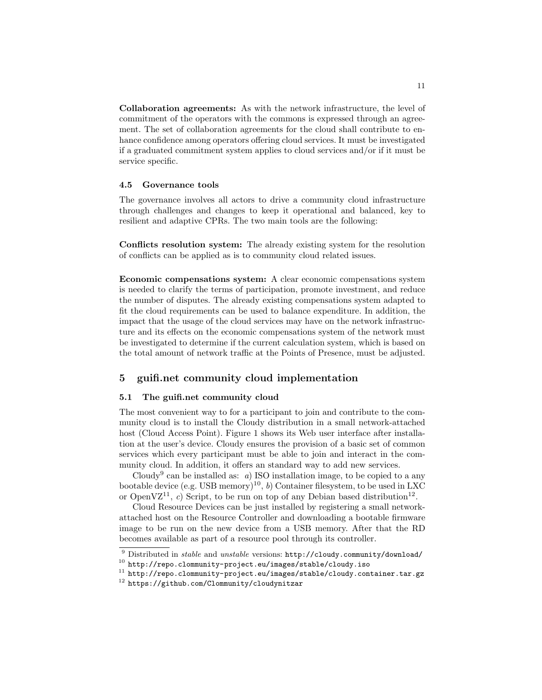Collaboration agreements: As with the network infrastructure, the level of commitment of the operators with the commons is expressed through an agreement. The set of collaboration agreements for the cloud shall contribute to enhance confidence among operators offering cloud services. It must be investigated if a graduated commitment system applies to cloud services and/or if it must be service specific.

## 4.5 Governance tools

The governance involves all actors to drive a community cloud infrastructure through challenges and changes to keep it operational and balanced, key to resilient and adaptive CPRs. The two main tools are the following:

Conflicts resolution system: The already existing system for the resolution of conflicts can be applied as is to community cloud related issues.

Economic compensations system: A clear economic compensations system is needed to clarify the terms of participation, promote investment, and reduce the number of disputes. The already existing compensations system adapted to fit the cloud requirements can be used to balance expenditure. In addition, the impact that the usage of the cloud services may have on the network infrastructure and its effects on the economic compensations system of the network must be investigated to determine if the current calculation system, which is based on the total amount of network traffic at the Points of Presence, must be adjusted.

# <span id="page-10-0"></span>5 guifi.net community cloud implementation

#### 5.1 The guifi.net community cloud

The most convenient way to for a participant to join and contribute to the community cloud is to install the Cloudy distribution in a small network-attached host (Cloud Access Point). Figure [1](#page-11-0) shows its Web user interface after installation at the user's device. Cloudy ensures the provision of a basic set of common services which every participant must be able to join and interact in the community cloud. In addition, it offers an standard way to add new services.

Cloudy<sup>[9](#page-10-1)</sup> can be installed as:  $a)$  ISO installation image, to be copied to a any bootable device (e.g. USB memory)<sup>[10](#page-10-2)</sup>, b) Container filesystem, to be used in LXC or OpenVZ<sup>[11](#page-10-3)</sup>, c) Script, to be run on top of any Debian based distribution<sup>[12](#page-10-4)</sup>.

Cloud Resource Devices can be just installed by registering a small networkattached host on the Resource Controller and downloading a bootable firmware image to be run on the new device from a USB memory. After that the RD becomes available as part of a resource pool through its controller.

<span id="page-10-1"></span><sup>&</sup>lt;sup>9</sup> Distributed in stable and unstable versions: <http://cloudy.community/download/>

<span id="page-10-2"></span> $^{10}$  <http://repo.clommunity-project.eu/images/stable/cloudy.iso>

<span id="page-10-3"></span> $11$  <http://repo.clommunity-project.eu/images/stable/cloudy.container.tar.gz>

<span id="page-10-4"></span><sup>12</sup> <https://github.com/Clommunity/cloudynitzar>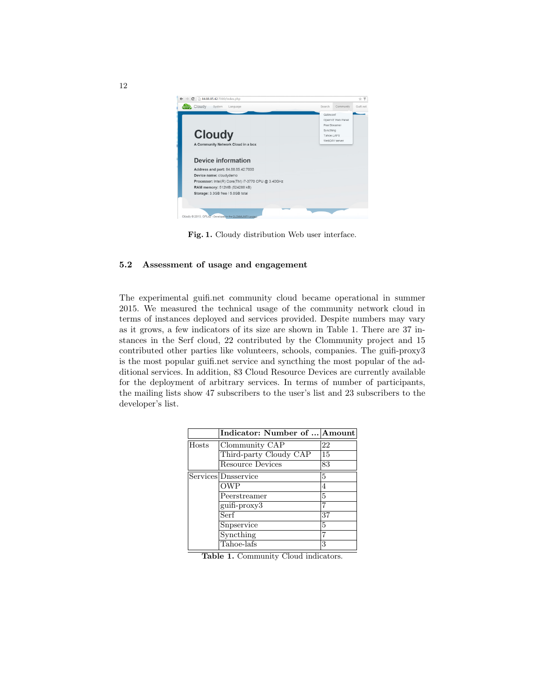

Fig. 1. Cloudy distribution Web user interface.

## <span id="page-11-0"></span>5.2 Assessment of usage and engagement

The experimental guifi.net community cloud became operational in summer 2015. We measured the technical usage of the community network cloud in terms of instances deployed and services provided. Despite numbers may vary as it grows, a few indicators of its size are shown in Table [1.](#page-11-1) There are 37 instances in the Serf cloud, 22 contributed by the Clommunity project and 15 contributed other parties like volunteers, schools, companies. The guifi-proxy3 is the most popular guifi.net service and syncthing the most popular of the additional services. In addition, 83 Cloud Resource Devices are currently available for the deployment of arbitrary services. In terms of number of participants, the mailing lists show 47 subscribers to the user's list and 23 subscribers to the developer's list.

|       | Indicator: Number of  Amount |    |
|-------|------------------------------|----|
| Hosts | Clommunity CAP               | 22 |
|       | Third-party Cloudy CAP       | 15 |
|       | Resource Devices             | 83 |
|       | Services Dnsservice          | 5  |
|       | OWP                          | 4  |
|       | Peerstreamer                 | 5  |
|       | guifi-proxy3                 |    |
|       | Serf                         | 37 |
|       | Snpservice                   | 5  |
|       | Syncthing                    |    |
|       | Tahoe-lafs                   | 3  |

<span id="page-11-1"></span>Table 1. Community Cloud indicators.

12